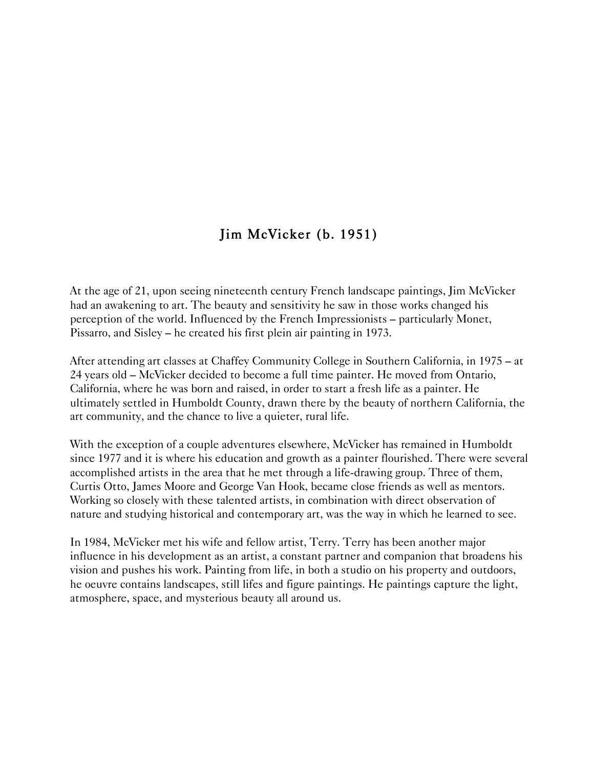# Jim McVicker (b. 1951)

At the age of 21, upon seeing nineteenth century French landscape paintings, Jim McVicker had an awakening to art. The beauty and sensitivity he saw in those works changed his perception of the world. Influenced by the French Impressionists – particularly Monet, Pissarro, and Sisley – he created his first plein air painting in 1973.

After attending art classes at Chaffey Community College in Southern California, in 1975 – at 24 years old – McVicker decided to become a full time painter. He moved from Ontario, California, where he was born and raised, in order to start a fresh life as a painter. He ultimately settled in Humboldt County, drawn there by the beauty of northern California, the art community, and the chance to live a quieter, rural life.

With the exception of a couple adventures elsewhere, McVicker has remained in Humboldt since 1977 and it is where his education and growth as a painter flourished. There were several accomplished artists in the area that he met through a life-drawing group. Three of them, Curtis Otto, James Moore and George Van Hook, became close friends as well as mentors. Working so closely with these talented artists, in combination with direct observation of nature and studying historical and contemporary art, was the way in which he learned to see.

In 1984, McVicker met his wife and fellow artist, Terry. Terry has been another major influence in his development as an artist, a constant partner and companion that broadens his vision and pushes his work. Painting from life, in both a studio on his property and outdoors, he oeuvre contains landscapes, still lifes and figure paintings. He paintings capture the light, atmosphere, space, and mysterious beauty all around us.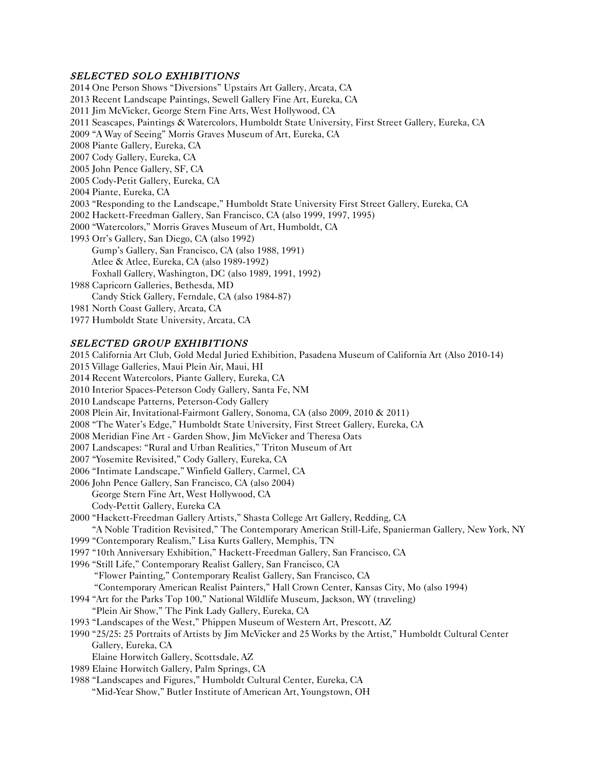#### SELECTED SOLO EXHIBITIONS

2014 One Person Shows "Diversions" Upstairs Art Gallery, Arcata, CA 2013 Recent Landscape Paintings, Sewell Gallery Fine Art, Eureka, CA 2011 Jim McVicker, George Stern Fine Arts, West Hollywood, CA 2011 Seascapes, Paintings & Watercolors, Humboldt State University, First Street Gallery, Eureka, CA 2009 "A Way of Seeing" Morris Graves Museum of Art, Eureka, CA 2008 Piante Gallery, Eureka, CA 2007 Cody Gallery, Eureka, CA 2005 John Pence Gallery, SF, CA 2005 Cody-Petit Gallery, Eureka, CA 2004 Piante, Eureka, CA 2003 "Responding to the Landscape," Humboldt State University First Street Gallery, Eureka, CA 2002 Hackett-Freedman Gallery, San Francisco, CA (also 1999, 1997, 1995) 2000 "Watercolors," Morris Graves Museum of Art, Humboldt, CA 1993 Orr's Gallery, San Diego, CA (also 1992) Gump's Gallery, San Francisco, CA (also 1988, 1991) Atlee & Atlee, Eureka, CA (also 1989-1992) Foxhall Gallery, Washington, DC (also 1989, 1991, 1992) 1988 Capricorn Galleries, Bethesda, MD Candy Stick Gallery, Ferndale, CA (also 1984-87) 1981 North Coast Gallery, Arcata, CA 1977 Humboldt State University, Arcata, CA

## SELECTED GROUP EXHIBITIONS

2015 California Art Club, Gold Medal Juried Exhibition, Pasadena Museum of California Art (Also 2010-14) 2015 Village Galleries, Maui Plein Air, Maui, HI 2014 Recent Watercolors, Piante Gallery, Eureka, CA 2010 Interior Spaces-Peterson Cody Gallery, Santa Fe, NM 2010 Landscape Patterns, Peterson-Cody Gallery 2008 Plein Air, Invitational-Fairmont Gallery, Sonoma, CA (also 2009, 2010 & 2011) 2008 "The Water's Edge," Humboldt State University, First Street Gallery, Eureka, CA 2008 Meridian Fine Art - Garden Show, Jim McVicker and Theresa Oats 2007 Landscapes: "Rural and Urban Realities," Triton Museum of Art 2007 "Yosemite Revisited," Cody Gallery, Eureka, CA 2006 "Intimate Landscape," Winfield Gallery, Carmel, CA 2006 John Pence Gallery, San Francisco, CA (also 2004) George Stern Fine Art, West Hollywood, CA Cody-Pettit Gallery, Eureka CA 2000 "Hackett-Freedman Gallery Artists," Shasta College Art Gallery, Redding, CA "A Noble Tradition Revisited," The Contemporary American Still-Life, Spanierman Gallery, New York, NY 1999 "Contemporary Realism," Lisa Kurts Gallery, Memphis, TN 1997 "10th Anniversary Exhibition," Hackett-Freedman Gallery, San Francisco, CA 1996 "Still Life," Contemporary Realist Gallery, San Francisco, CA "Flower Painting," Contemporary Realist Gallery, San Francisco, CA "Contemporary American Realist Painters," Hall Crown Center, Kansas City, Mo (also 1994) 1994 "Art for the Parks Top 100," National Wildlife Museum, Jackson, WY (traveling) "Plein Air Show," The Pink Lady Gallery, Eureka, CA 1993 "Landscapes of the West," Phippen Museum of Western Art, Prescott, AZ 1990 "25/25: 25 Portraits of Artists by Jim McVicker and 25 Works by the Artist," Humboldt Cultural Center Gallery, Eureka, CA Elaine Horwitch Gallery, Scottsdale, AZ 1989 Elaine Horwitch Gallery, Palm Springs, CA 1988 "Landscapes and Figures," Humboldt Cultural Center, Eureka, CA "Mid-Year Show," Butler Institute of American Art, Youngstown, OH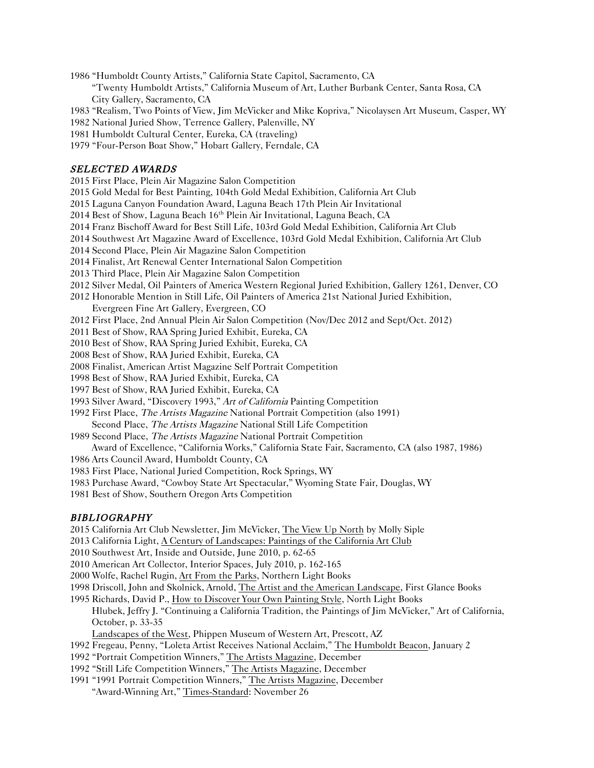1986 "Humboldt County Artists," California State Capitol, Sacramento, CA

"Twenty Humboldt Artists," California Museum of Art, Luther Burbank Center, Santa Rosa, CA City Gallery, Sacramento, CA

1983 "Realism, Two Points of View, Jim McVicker and Mike Kopriva," Nicolaysen Art Museum, Casper, WY

1982 National Juried Show, Terrence Gallery, Palenville, NY

1981 Humboldt Cultural Center, Eureka, CA (traveling)

1979 "Four-Person Boat Show," Hobart Gallery, Ferndale, CA

#### SELECTED AWARDS

2015 First Place, Plein Air Magazine Salon Competition

2015 Gold Medal for Best Painting, 104th Gold Medal Exhibition, California Art Club

2015 Laguna Canyon Foundation Award, Laguna Beach 17th Plein Air Invitational

2014 Best of Show, Laguna Beach  $16<sup>th</sup>$  Plein Air Invitational, Laguna Beach, CA

2014 Franz Bischoff Award for Best Still Life, 103rd Gold Medal Exhibition, California Art Club

2014 Southwest Art Magazine Award of Excellence, 103rd Gold Medal Exhibition, California Art Club

2014 Second Place, Plein Air Magazine Salon Competition

2014 Finalist, Art Renewal Center International Salon Competition

- 2013 Third Place, Plein Air Magazine Salon Competition
- 2012 Silver Medal, Oil Painters of America Western Regional Juried Exhibition, Gallery 1261, Denver, CO

2012 Honorable Mention in Still Life, Oil Painters of America 21st National Juried Exhibition,

Evergreen Fine Art Gallery, Evergreen, CO

- 2012 First Place, 2nd Annual Plein Air Salon Competition (Nov/Dec 2012 and Sept/Oct. 2012)
- 2011 Best of Show, RAA Spring Juried Exhibit, Eureka, CA

2010 Best of Show, RAA Spring Juried Exhibit, Eureka, CA

2008 Best of Show, RAA Juried Exhibit, Eureka, CA

2008 Finalist, American Artist Magazine Self Portrait Competition

1998 Best of Show, RAA Juried Exhibit, Eureka, CA

1997 Best of Show, RAA Juried Exhibit, Eureka, CA

1993 Silver Award, "Discovery 1993," Art of California Painting Competition

1992 First Place, The Artists Magazine National Portrait Competition (also 1991)

- Second Place, The Artists Magazine National Still Life Competition
- 1989 Second Place, The Artists Magazine National Portrait Competition

Award of Excellence, "California Works," California State Fair, Sacramento, CA (also 1987, 1986)

- 1986 Arts Council Award, Humboldt County, CA
- 1983 First Place, National Juried Competition, Rock Springs, WY
- 1983 Purchase Award, "Cowboy State Art Spectacular," Wyoming State Fair, Douglas, WY
- 1981 Best of Show, Southern Oregon Arts Competition

#### BIBLIOGRAPHY

2015 California Art Club Newsletter, Jim McVicker, The View Up North by Molly Siple

2013 California Light, A Century of Landscapes: Paintings of the California Art Club

2010 Southwest Art, Inside and Outside, June 2010, p. 62-65

2010 American Art Collector, Interior Spaces, July 2010, p. 162-165

2000 Wolfe, Rachel Rugin, Art From the Parks, Northern Light Books

1998 Driscoll, John and Skolnick, Arnold, The Artist and the American Landscape, First Glance Books

1995 Richards, David P., How to Discover Your Own Painting Style, North Light Books

Hlubek, Jeffry J. "Continuing a California Tradition, the Paintings of Jim McVicker," Art of California, October, p. 33-35

Landscapes of the West, Phippen Museum of Western Art, Prescott, AZ

1992 Fregeau, Penny, "Loleta Artist Receives National Acclaim," The Humboldt Beacon, January 2

1992 "Portrait Competition Winners," The Artists Magazine, December

1992 "Still Life Competition Winners," The Artists Magazine, December

1991 "1991 Portrait Competition Winners," The Artists Magazine, December "Award-Winning Art," Times-Standard: November 26